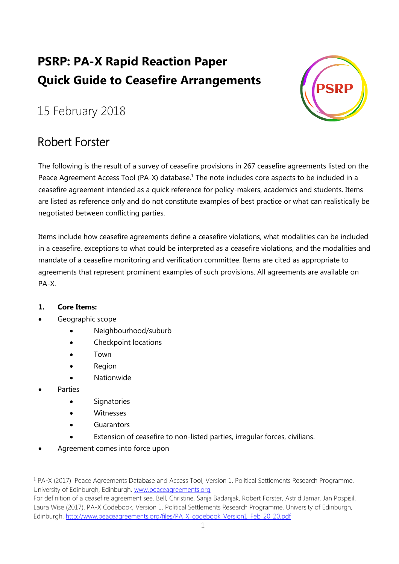# **PSRP: PA-X Rapid Reaction Paper Quick Guide to Ceasefire Arrangements**



## 15 February 2018

### Robert Forster

The following is the result of a survey of ceasefire provisions in 267 ceasefire agreements listed on the Peace Agreement Access Tool (PA-X) database.<sup>1</sup> The note includes core aspects to be included in a ceasefire agreement intended as a quick reference for policy-makers, academics and students. Items are listed as reference only and do not constitute examples of best practice or what can realistically be negotiated between conflicting parties.

Items include how ceasefire agreements define a ceasefire violations, what modalities can be included in a ceasefire, exceptions to what could be interpreted as a ceasefire violations, and the modalities and mandate of a ceasefire monitoring and verification committee. Items are cited as appropriate to agreements that represent prominent examples of such provisions. All agreements are available on PA-X.

#### **1. Core Items:**

#### Geographic scope

- Neighbourhood/suburb
- Checkpoint locations
- Town
- Region
- Nationwide
- Parties

 $\overline{a}$ 

- **Signatories**
- Witnesses
- **Guarantors**
- Extension of ceasefire to non-listed parties, irregular forces, civilians.
- Agreement comes into force upon

<sup>1</sup> PA-X (2017). Peace Agreements Database and Access Tool, Version 1. Political Settlements Research Programme, University of Edinburgh, Edinburgh. [www.peaceagreements.org](http://www.peaceagreements.org/)

For definition of a ceasefire agreement see, Bell, Christine, Sanja Badanjak, Robert Forster, Astrid Jamar, Jan Pospisil, Laura Wise (2017). PA-X Codebook, Version 1. Political Settlements Research Programme, University of Edinburgh, Edinburgh. [http://www.peaceagreements.org/files/PA\\_X\\_codebook\\_Version1\\_Feb\\_20\\_20.pdf](http://www.peaceagreements.org/files/PA_X_codebook_Version1_Feb_20_20.pdf)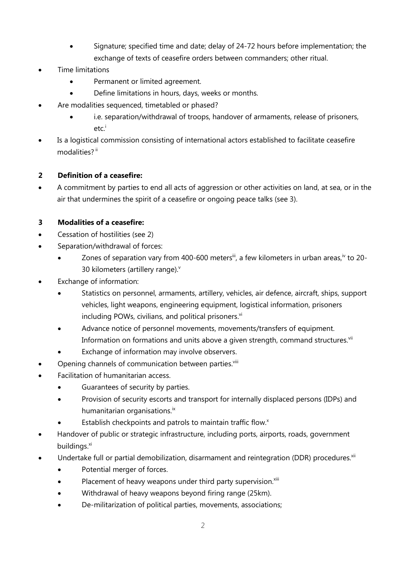- Signature; specified time and date; delay of 24-72 hours before implementation; the exchange of texts of ceasefire orders between commanders; other ritual.
- Time limitations
	- Permanent or limited agreement.
	- Define limitations in hours, days, weeks or months.
- Are modalities sequenced, timetabled or phased?
	- i.e. separation/withdrawal of troops, handover of armaments, release of prisoners, etc.<sup>i</sup>
- Is a logistical commission consisting of international actors established to facilitate ceasefire modalities?<sup>ii</sup>

#### **2 Definition of a ceasefire:**

 A commitment by parties to end all acts of aggression or other activities on land, at sea, or in the air that undermines the spirit of a ceasefire or ongoing peace talks (see 3).

#### **3 Modalities of a ceasefire:**

- Cessation of hostilities (see 2)
- Separation/withdrawal of forces:
	- Zones of separation vary from 400-600 meters<sup>ii</sup>, a few kilometers in urban areas,<sup>iv</sup> to 20-30 kilometers (artillery range).<sup>v</sup>
- Exchange of information:
	- Statistics on personnel, armaments, artillery, vehicles, air defence, aircraft, ships, support vehicles, light weapons, engineering equipment, logistical information, prisoners including POWs, civilians, and political prisoners. $vi$
	- Advance notice of personnel movements, movements/transfers of equipment. Information on formations and units above a given strength, command structures.<sup>vii</sup>
	- Exchange of information may involve observers.
- Opening channels of communication between parties.<sup>viii</sup>
- Facilitation of humanitarian access.
	- Guarantees of security by parties.
	- Provision of security escorts and transport for internally displaced persons (IDPs) and humanitarian organisations.<sup>ix</sup>
	- Establish checkpoints and patrols to maintain traffic flow.<sup>x</sup>
- Handover of public or strategic infrastructure, including ports, airports, roads, government buildings. $x$ <sup>i</sup>
- Undertake full or partial demobilization, disarmament and reintegration (DDR) procedures.<sup>xii</sup>
	- Potential merger of forces.
	- $\bullet$  Placement of heavy weapons under third party supervision. $\frac{x}{10}$
	- Withdrawal of heavy weapons beyond firing range (25km).
	- De-militarization of political parties, movements, associations;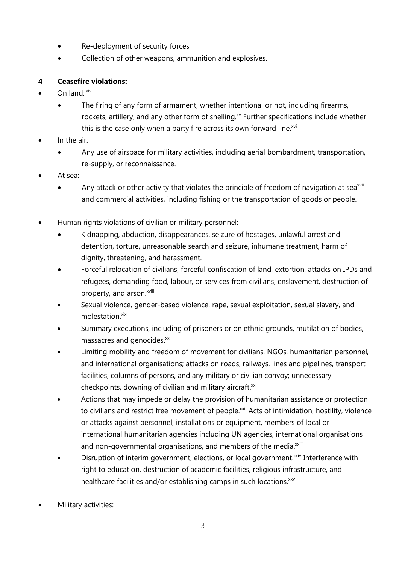- Re-deployment of security forces
- Collection of other weapons, ammunition and explosives.

#### **4 Ceasefire violations:**

- On land: xiv
	- The firing of any form of armament, whether intentional or not, including firearms, rockets, artillery, and any other form of shelling.<sup>xv</sup> Further specifications include whether this is the case only when a party fire across its own forward line.<sup>xvi</sup>
- In the air:
	- Any use of airspace for military activities, including aerial bombardment, transportation, re-supply, or reconnaissance.
- At sea:
	- Any attack or other activity that violates the principle of freedom of navigation at sea<sup>xvii</sup> and commercial activities, including fishing or the transportation of goods or people.
- Human rights violations of civilian or military personnel:
	- Kidnapping, abduction, disappearances, seizure of hostages, unlawful arrest and detention, torture, unreasonable search and seizure, inhumane treatment, harm of dignity, threatening, and harassment.
	- Forceful relocation of civilians, forceful confiscation of land, extortion, attacks on IPDs and refugees, demanding food, labour, or services from civilians, enslavement, destruction of property, and arson.<sup>xviii</sup>
	- Sexual violence, gender-based violence, rape, sexual exploitation, sexual slavery, and molestation.<sup>xix</sup>
	- Summary executions, including of prisoners or on ethnic grounds, mutilation of bodies, massacres and genocides.<sup>xx</sup>
	- Limiting mobility and freedom of movement for civilians, NGOs, humanitarian personnel, and international organisations; attacks on roads, railways, lines and pipelines, transport facilities, columns of persons, and any military or civilian convoy; unnecessary checkpoints, downing of civilian and military aircraft.<sup>xxi</sup>
	- Actions that may impede or delay the provision of humanitarian assistance or protection to civilians and restrict free movement of people.<sup>xxii</sup> Acts of intimidation, hostility, violence or attacks against personnel, installations or equipment, members of local or international humanitarian agencies including UN agencies, international organisations and non-governmental organisations, and members of the media.<sup>xxiii</sup>
	- Disruption of interim government, elections, or local government.<sup>xxiv</sup> Interference with right to education, destruction of academic facilities, religious infrastructure, and healthcare facilities and/or establishing camps in such locations.<sup>xxv</sup>
- Military activities: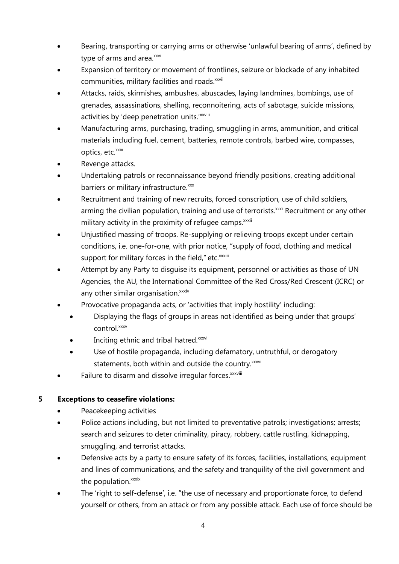- Bearing, transporting or carrying arms or otherwise 'unlawful bearing of arms', defined by type of arms and area.xxvi
- Expansion of territory or movement of frontlines, seizure or blockade of any inhabited communities, military facilities and roads.<sup>xxvii</sup>
- Attacks, raids, skirmishes, ambushes, abuscades, laying landmines, bombings, use of grenades, assassinations, shelling, reconnoitering, acts of sabotage, suicide missions, activities by 'deep penetration units.'xxviii
- Manufacturing arms, purchasing, trading, smuggling in arms, ammunition, and critical materials including fuel, cement, batteries, remote controls, barbed wire, compasses, optics, etc.<sup>xxix</sup>
- Revenge attacks.
- Undertaking patrols or reconnaissance beyond friendly positions, creating additional barriers or military infrastructure.<sup>xxx</sup>
- Recruitment and training of new recruits, forced conscription, use of child soldiers, arming the civilian population, training and use of terrorists.<sup>xxxi</sup> Recruitment or any other military activity in the proximity of refugee camps.<sup>xxxii</sup>
- Unjustified massing of troops. Re-supplying or relieving troops except under certain conditions, i.e. one-for-one, with prior notice, "supply of food, clothing and medical support for military forces in the field," etc.<sup>xxxiii</sup>
- Attempt by any Party to disguise its equipment, personnel or activities as those of UN Agencies, the AU, the International Committee of the Red Cross/Red Crescent (ICRC) or any other similar organisation.<sup>xxxiv</sup>
- Provocative propaganda acts, or 'activities that imply hostility' including:
	- Displaying the flags of groups in areas not identified as being under that groups' control.xxxv
	- Inciting ethnic and tribal hatred.xxxvi
	- Use of hostile propaganda, including defamatory, untruthful, or derogatory statements, both within and outside the country. xxxvii
- Failure to disarm and dissolve irregular forces. xxxviii

#### **5 Exceptions to ceasefire violations:**

- Peacekeeping activities
- Police actions including, but not limited to preventative patrols; investigations; arrests; search and seizures to deter criminality, piracy, robbery, cattle rustling, kidnapping, smuggling, and terrorist attacks.
- Defensive acts by a party to ensure safety of its forces, facilities, installations, equipment and lines of communications, and the safety and tranquility of the civil government and the population.<sup>xxxix</sup>
- The 'right to self-defense', i.e. "the use of necessary and proportionate force, to defend yourself or others, from an attack or from any possible attack. Each use of force should be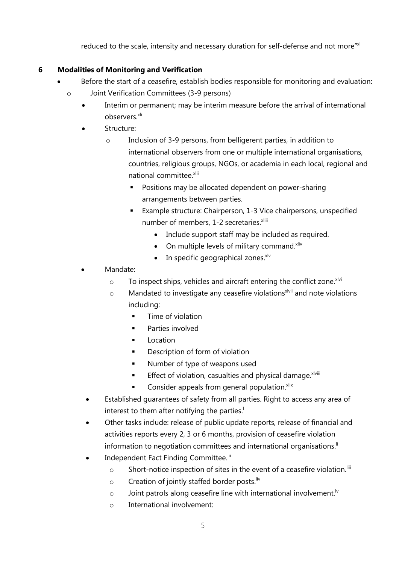reduced to the scale, intensity and necessary duration for self-defense and not more"xl

### **6 Modalities of Monitoring and Verification**

- Before the start of a ceasefire, establish bodies responsible for monitoring and evaluation:
	- o Joint Verification Committees (3-9 persons)
		- Interim or permanent; may be interim measure before the arrival of international observers.<sup>xli</sup>
		- Structure:
			- o Inclusion of 3-9 persons, from belligerent parties, in addition to international observers from one or multiple international organisations, countries, religious groups, NGOs, or academia in each local, regional and national committee.xlii
				- Positions may be allocated dependent on power-sharing arrangements between parties.
				- Example structure: Chairperson, 1-3 Vice chairpersons, unspecified number of members, 1-2 secretaries.<sup>xliii</sup>
					- Include support staff may be included as required.
					- $\bullet$  On multiple levels of military command. Xliv
					- $\bullet$  In specific geographical zones.<sup>xlv</sup>
		- Mandate:
			- $\circ$  To inspect ships, vehicles and aircraft entering the conflict zone.<sup>xlvi</sup>
			- $\circ$  Mandated to investigate any ceasefire violations<sup>xlvii</sup> and note violations including:
				- Time of violation
				- **Parties involved**
				- **Location**
				- **•** Description of form of violation
				- **Number of type of weapons used**
				- **Effect of violation, casualties and physical damage.**  $x^{lviii}$
				- $\blacksquare$  Consider appeals from general population. Xiix
			- Established guarantees of safety from all parties. Right to access any area of interest to them after notifying the parties.<sup>1</sup>
			- Other tasks include: release of public update reports, release of financial and activities reports every 2, 3 or 6 months, provision of ceasefire violation information to negotiation committees and international organisations.<sup>li</sup>
			- Independent Fact Finding Committee.<sup>lii</sup>
				- o Short-notice inspection of sites in the event of a ceasefire violation.<sup>Iiii</sup>
				- $\circ$  Creation of jointly staffed border posts. Iiv
				- $\circ$  Joint patrols along ceasefire line with international involvement.<sup>1</sup>
				- o International involvement: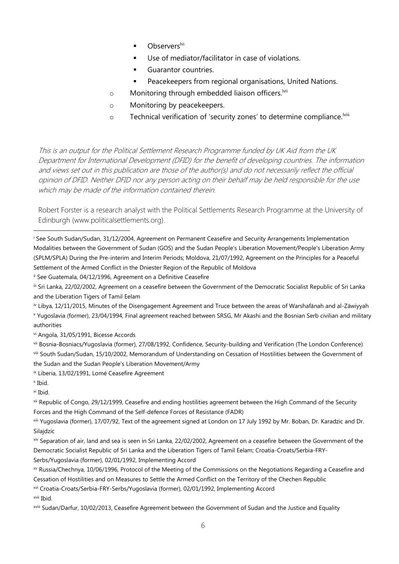- Observers<sup>lvi</sup>
- Use of mediator/facilitator in case of violations.
- **Guarantor countries.**
- **Peacekeepers from regional organisations, United Nations.**
- $\circ$  Monitoring through embedded liaison officers.<sup>Ivii</sup>
- o Monitoring by peacekeepers.
- o Technical verification of 'security zones' to determine compliance.<sup>Iviii</sup>

This is an output for the Political Settlement Research Programme funded by UK Aid from the UK Department for International Development (DFID) for the benefit of developing countries. The information and views set out in this publication are those of the author(s) and do not necessarily reflect the official opinion of DFID. Neither DFID nor any person acting on their behalf may be held responsible for the use which may be made of the information contained therein.

Robert Forster is a research analyst with the Political Settlements Research Programme at the University of Edinburgh (www.politicalsettlements.org).

ii See Guatemala, 04/12/1996, Agreement on a Definitive Ceasefire

iii Sri Lanka, 22/02/2002, Agreement on a ceasefire between the Government of the Democratic Socialist Republic of Sri Lanka and the Liberation Tigers of Tamil Eelam

iv Libya, 12/11/2015, Minutes of the Disengagement Agreement and Truce between the areas of Warshafānah and al-Zāwiyyah <sup>v</sup> Yugoslavia (former), 23/04/1994, Final agreement reached between SRSG, Mr Akashi and the Bosnian Serb civilian and military authorities

vi Angola, 31/05/1991, Bicesse Accords

vii Bosnia-Bosniacs/Yugoslavia (former), 27/08/1992, Confidence, Security-building and Verification (The London Conference) viii South Sudan/Sudan, 15/10/2002, Memorandum of Understanding on Cessation of Hostilities between the Government of the Sudan and the Sudan People's Liberation Movement/Army

ix Liberia, 13/02/1991, Lomé Ceasefire Agreement

x Ibid.

xi Ibid.

xii Republic of Congo, 29/12/1999, Ceasefire and ending hostilities agreement between the High Command of the Security Forces and the High Command of the Self-defence Forces of Resistance (FADR)

xiii Yugoslavia (former), 17/07/92, Text of the agreement signed at London on 17 July 1992 by Mr. Boban, Dr. Karadzic and Dr. Silajdzic

xiv Separation of air, land and sea is seen in Sri Lanka, 22/02/2002, Agreement on a ceasefire between the Government of the Democratic Socialist Republic of Sri Lanka and the Liberation Tigers of Tamil Eelam; Croatia-Croats/Serbia-FRY-

Serbs/Yugoslavia (former), 02/01/1992, Implementing Accord

xv Russia/Chechnya, 10/06/1996, Protocol of the Meeting of the Commissions on the Negotiations Regarding a Ceasefire and Cessation of Hostilities and on Measures to Settle the Armed Conflict on the Territory of the Chechen Republic

xvi Croatia-Croats/Serbia-FRY-Serbs/Yugoslavia (former), 02/01/1992, Implementing Accord

xvii Ibid.

xviii Sudan/Darfur, 10/02/2013, Ceasefire Agreement between the Government of Sudan and the Justice and Equality

<sup>i</sup> See South Sudan/Sudan, 31/12/2004, Agreement on Permanent Ceasefire and Security Arrangements Implementation Modalities between the Government of Sudan (GOS) and the Sudan People's Liberation Movement/People's Liberation Army (SPLM/SPLA) During the Pre-interim and Interim Periods; Moldova, 21/07/1992, Agreement on the Principles for a Peaceful Settlement of the Armed Conflict in the Dniester Region of the Republic of Moldova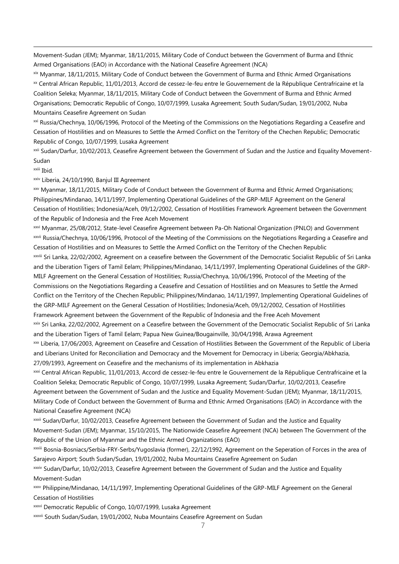Movement-Sudan (JEM); Myanmar, 18/11/2015, Military Code of Conduct between the Government of Burma and Ethnic Armed Organisations (EAO) in Accordance with the National Ceasefire Agreement (NCA)

xix Myanmar, 18/11/2015, Military Code of Conduct between the Government of Burma and Ethnic Armed Organisations xx Central African Republic, 11/01/2013, Accord de cessez-le-feu entre le Gouvernement de la République Centrafricaine et la Coalition Seleka; Myanmar, 18/11/2015, Military Code of Conduct between the Government of Burma and Ethnic Armed Organisations; Democratic Republic of Congo, 10/07/1999, Lusaka Agreement; South Sudan/Sudan, 19/01/2002, Nuba Mountains Ceasefire Agreement on Sudan

xxi Russia/Chechnya, 10/06/1996, Protocol of the Meeting of the Commissions on the Negotiations Regarding a Ceasefire and Cessation of Hostilities and on Measures to Settle the Armed Conflict on the Territory of the Chechen Republic; Democratic Republic of Congo, 10/07/1999, Lusaka Agreement

xxii Sudan/Darfur, 10/02/2013, Ceasefire Agreement between the Government of Sudan and the Justice and Equality Movement-Sudan

xxiii Ibid.

 $\overline{a}$ 

xxiv Liberia, 24/10/1990, Banjul III Agreement

xxv Myanmar, 18/11/2015, Military Code of Conduct between the Government of Burma and Ethnic Armed Organisations; Philippines/Mindanao, 14/11/1997, Implementing Operational Guidelines of the GRP-MILF Agreement on the General Cessation of Hostilities; Indonesia/Aceh, 09/12/2002, Cessation of Hostilities Framework Agreement between the Government of the Republic of Indonesia and the Free Aceh Movement

xxvi Myanmar, 25/08/2012, State-level Ceasefire Agreement between Pa-Oh National Organization (PNLO) and Government

xxvii Russia/Chechnya, 10/06/1996, Protocol of the Meeting of the Commissions on the Negotiations Regarding a Ceasefire and Cessation of Hostilities and on Measures to Settle the Armed Conflict on the Territory of the Chechen Republic

xxviii Sri Lanka, 22/02/2002, Agreement on a ceasefire between the Government of the Democratic Socialist Republic of Sri Lanka and the Liberation Tigers of Tamil Eelam; Philippines/Mindanao, 14/11/1997, Implementing Operational Guidelines of the GRP-MILF Agreement on the General Cessation of Hostilities; Russia/Chechnya, 10/06/1996, Protocol of the Meeting of the Commissions on the Negotiations Regarding a Ceasefire and Cessation of Hostilities and on Measures to Settle the Armed Conflict on the Territory of the Chechen Republic; Philippines/Mindanao, 14/11/1997, Implementing Operational Guidelines of the GRP-MILF Agreement on the General Cessation of Hostilities; Indonesia/Aceh, 09/12/2002, Cessation of Hostilities Framework Agreement between the Government of the Republic of Indonesia and the Free Aceh Movement

xxix Sri Lanka, 22/02/2002, Agreement on a Ceasefire between the Government of the Democratic Socialist Republic of Sri Lanka and the Liberation Tigers of Tamil Eelam; Papua New Guinea/Bougainville, 30/04/1998, Arawa Agreement

xxx Liberia, 17/06/2003, Agreement on Ceasefire and Cessation of Hostilities Between the Government of the Republic of Liberia and Liberians United for Reconciliation and Democracy and the Movement for Democracy in Liberia; Georgia/Abkhazia, 27/09/1993, Agreement on Ceasefire and the mechanisms of its implementation in Abkhazia

xxxi Central African Republic, 11/01/2013, Accord de cessez-le-feu entre le Gouvernement de la République Centrafricaine et la Coalition Seleka; Democratic Republic of Congo, 10/07/1999, Lusaka Agreement; Sudan/Darfur, 10/02/2013, Ceasefire Agreement between the Government of Sudan and the Justice and Equality Movement-Sudan (JEM); Myanmar, 18/11/2015, Military Code of Conduct between the Government of Burma and Ethnic Armed Organisations (EAO) in Accordance with the National Ceasefire Agreement (NCA)

xxxii Sudan/Darfur, 10/02/2013, Ceasefire Agreement between the Government of Sudan and the Justice and Equality Movement-Sudan (JEM); Myanmar, 15/10/2015, The Nationwide Ceasefire Agreement (NCA) between The Government of the Republic of the Union of Myanmar and the Ethnic Armed Organizations (EAO)

xxxiii Bosnia-Bosniacs/Serbia-FRY-Serbs/Yugoslavia (former), 22/12/1992, Agreement on the Seperation of Forces in the area of Sarajevo Airport; South Sudan/Sudan, 19/01/2002, Nuba Mountains Ceasefire Agreement on Sudan

xxxiv Sudan/Darfur, 10/02/2013, Ceasefire Agreement between the Government of Sudan and the Justice and Equality Movement-Sudan

xxxv Philippine/Mindanao, 14/11/1997, Implementing Operational Guidelines of the GRP-MILF Agreement on the General Cessation of Hostilities

xxxvi Democratic Republic of Congo, 10/07/1999, Lusaka Agreement

xxxvii South Sudan/Sudan, 19/01/2002, Nuba Mountains Ceasefire Agreement on Sudan